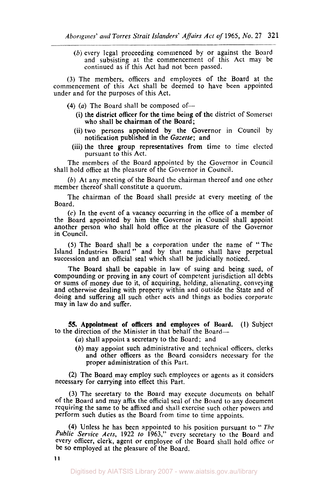(b) every legal proceeding commenced by or against the Board and subsisting at the commencement of this Act may be continued as if this Act had not been passed.

**(3)** The members, officers and employees of the Board at the commencement of this Act shall be deemed to have been appointed under and for the purposes of this Act.

- $(4)$   $(a)$  The Board shall be composed of
	- who shall be chairman of the Board; (i) the district officer for the time being of the district of Somerset
	- notification published in the *Gazette;* and (ii) two persons appointed by the Governor in Council by
	- pursuant to this Act. (iii) the three group representatives from time to time elected

The members of the Board appointed by the Governor in Council shall hold office at the pleasure of the Governor in Council.

*(b)* At any meeting of the Board the chairman thereof and one other member thereof shall constitute a quorum.

The chairman of the Board shall preside at every meeting of the Board.

**(c)** In the event of a vacancy occurring in the office of a member of the Board appointed by him the Governor in Council shall appoint another person **who** shall hold office at the pleasure of the Governor in Council.

*(5)* The Board shall be a corporation under the name of "The Island Industries Board" and by that name shall have perpetual succession and an official seal which shall be judicially noticed.

The Board shall be capable in law of suing and being sued, of compounding or proving in any court of competent jurisdiction all debts or sums **of** money due to it, of acquiring, holding, alienating, conveying and otherwise dealing with property within and outside the State and of doing and suffering all such other acts and things as bodies corporate may in law do and suffer.

**55. Appointment of officers and employees** *of* **Board. (1)** Subject to the direction of the Minister in that behalf the Board-

- *(a)* shall appoint a secretary to the Board; and
- (b) may appoint such administrative and technical officers, clerks and other officers **as** the Board considers necessary for the proper administration of this Part.

**(2)** The Board may employ such employees or agents **as** it considers necessary for carrying into effect this Part.

**(3)** The secretary to the Board may execute documents on behalf of the Board and may affix the official seal of the Board to any document requiring the same to be affixed and shall exercise such other powers and perform such duties as the Board from time to time appoints.

**(4)** Unless he has been appointed to his position pursuant to '' *The public Service Acts,* **1922** *to* **1963,"** every secretary to the Board and every officer, clerk, agent or employee of the Board **shall** hold office or be *so* employed at the pleasure of the Board.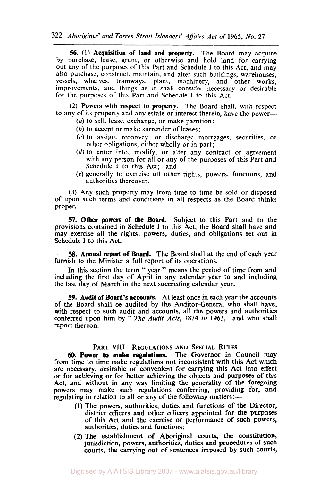*56.* (1) Acquisition of **land and property.** The Board may acquire by purchase, lease, grant, or otherwise and hold land for carrying out any of the purposes of this Part and Schedule I to this Act, and may also purchase, construct, maintain, and alter such buildings, warehouses, vessels, wharves, tramways, plant, machinery, and other works, improvements, and things as it shall consider necessary or desirable for the purposes of this Part and Schedule I to this Act.

**(2)** Powers with respect **to** property. The Board shall, with respect to any of its property and any estate or interest therein, have the power-

- *(a)* to sell, lease, exchange, or make partition;
- *(b)* to accept or make surrender of leases;
- **(c)** to assign, reconvey, or discharge mortgages, securities, or other obligations, either wholly or in part;
- $(d)$  to enter into, modify, or alter any contract or agreement with any person for all or any of the purposes of this Part and Schedule I to this Act; and
- *(e)* generally to exercise all other rights, powers, functions, and authorities thereover.

(3) Any such property may from time to time be sold **or** disposed of upon such terms and conditions in all respects as the Board thinks proper.

57. Other powers of the Board. Subject to this Part and to the provisions contained in Schedule I to this Act, the Board shall have and may exercise all the rights, powers, duties, and obligations set out in Schedule I to this Act.

**58.** Annual **report** of **Board. The** Board shall at the end of each year furnish to the Minister a full report of its operations.

In this section the term " year " means the period of time from and including the first day of April in any calendar year to and including the last day of March in the next succeeding calendar year.

**59. Audit of Board's accounts.** At least once in each year the accounts of the Board shall be audited by the Auditor-General who shall have, with respect to such audit and accounts, all the powers and authorities conferred upon him by " The *Audit Acts,* **1874** *to* 1963," and who shall report thereon.

## **PART VIII-REGULATIONS AND SPECIAL RULES**

*60.* **Power to make regulations.** The Governor in Council may from time to time make regulations not inconsistent with this Act which are necessary, desirable or convenient for carrying this Act into effect **or** for achieving or for better achieving the objects and purposes of this Act, and without in any way limiting the generality of the foregoing powers may make such regulations conferring, providing for, and regulating in relation to all or any of the following matters:-

- **(1)** The powers, authorities, duties and functions of the Director, district officers and other officers appointed for the purposes of this Act and the exercise or performance of such powers, authorities, duties and functions;
- **(2)** The establishment of Aboriginal courts, the constitution, jurisdiction, powers, authorities, duties and procedures of such courts, the carrying out of sentences imposed by such courts,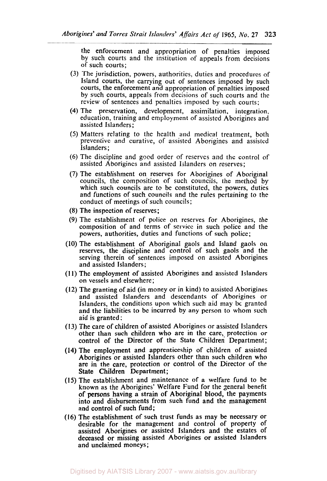the enforcement and appropriation of penalties imposed by such courts and the institution of appeals from decisions of such courts;

- (3) The jurisdiction, powers, authorities, duties and procedures of Island courts, the carrying out of sentences imposed by such courts, the enforcement and appropriation of penalties imposed by such courts, appeals from decisions of such courts and the review of sentences and penalties imposed by such courts;
- **(4)** The preservation, development, assimilation. integration, education, training and employment of assisted Aborigines and assisted Islanders;
- *(S)* Matters relating to the health and medical treatment, both preventive and curative, of assisted Aborigines and assisted Islanders ;
- (6) The discipline and good order of reserves and the control of assisted Aborigines and assisted Islanders on reserves;
- *(7)* The establishment on reserves for Aborigines of Aboriginal councils, the composition of such councils, the method by which such councils are to be constituted, the powers, duties and functions of such councils and the rules pertaining to the conduct of meetings of such councils;
- (8) The inspection of reserves;
- (9) The establishment of police on reserves for Aborigines, the composition of and terms of service in such police and the powers, authorities, duties and functions of such police;
- **(10)** The establishment of Aboriginal gaols and Island gaols on reserves, the discipline and control of such gaols and the serving therein of sentences imposed on assisted Aborigines and assisted Islanders;
- **(1 1)** The employment of assisted Aborigines and assisted Islanders on vessels and elsewhere;
- (12) The granting of aid (in money or in kind) **to** assisted Aborigines and assisted Islanders and descendants of Aborigines or Islanders, the conditions upon which such aid may **be** granted and the liabilities **to** be incurred by any person to whom such aid is granted:
- (13) The care of children of assisted Aborigines or assisted Islanders other than such children who are in the care, protection or control of the Director of the State Children Department;
- **(14)** The employment and apprenticeship of children of assisted Aborigines or assisted Islanders other than such children who are in the care, protection or control of the Director of the State Children Department;
- **(15)** The establishment and maintenance of a welfare fund to be known as the Aborigines' Welfare Fund for the general benefit of persons having a strain of Aboriginal blood, the payments into and disbursements from such fund and the management and control of such fund;
- **(16)** The establishment of such trust funds as may be necessary or desirable for the management and control of property of assisted Aborigines or assisted Islanders and the estates of deceased or missing assisted Aborigines **or** assisted Islanders and unclaimed moneys;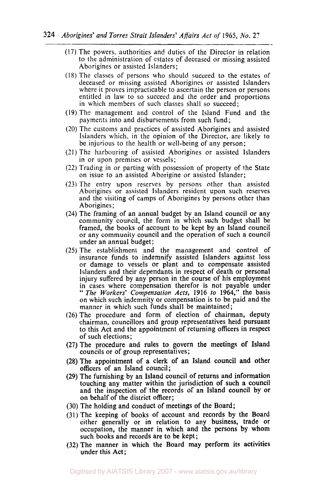- (17) The powers, authorities and duties of the Director in relation to the administration of estates of deceased or missing assisted Aborigines or assisted Islanders;
- **(18)** The classes of persons who should succeed to the estates of deceased or missing assisted Aborigines or assisted Islanders where it proves impracticable to ascertain the person or persons entitled in law to so succeed and the order and proportions in which members of such classes shall so succeed;
- **(19)** The management and control of the Island Fund and the payments into and disbursements from such fund;
- (20) The customs and practices of assisted Aborigines and assisted Islanders which, in the opinion of the Director, are likely to be injurious to the health or well-being of any person;
- (21) The harbouring of assisted Aborigines or assisted Islanders in or upon premises or vessels;
- **(22)** Trading in or parting with possession of property of the State on issue to an assisted Aborigine or assisted Islander;
- (23) The entry upon reserves by persons other than assisted Aborigines or assisted Islanders resident upon such reserves and the visiting of camps of Aborigines by persons other than Aborigines ;
- (24) The framing of an annual budget by an Island council or any community council, the form in which such budget shall be framed, the books of account to be kept by an Island council or any community council and the operation of such a council under an annual budget;
- (25) The establishment and the management and control of insurance funds to indemnify assisted Islanders against loss or damage to vessels or plant and to compensate assisted Islanders and their dependants in respect of death **or** personal injury suffered by any person in the course of his employment in cases where compensation therefor is not payable under " *The Workers' Compensation Acts,* **1916** *to* **1964,"** the basis on which such indemnity or compensation is to be paid and the manner in which such funds shall be maintained;
- **(26)** The procedure and form of election of chairman, deputy chairman, councillors and group representatives held pursuant to this Act and the appointment of returning officers in respect of such elections;
- **(27) The** procedure and rules to govern the meetings **of** Island councils or of group representatives;
- **(28)** The appointment of **a** clerk **of** an Island council and other officers of an Island council;
- **(29)** The furnishing by an Island council of returns and information touching any matter within the jurisdiction **of** such a council and the inspection of the records **of** an Island council **by** or on behalf of the district officer;
- (30) The holding and conduct of meetings of the Board;
- (31) The keeping of books of account and records by the Board either generally **or** in relation to any business, trade or occupation, the manner in which and the persons by whom such books and records are to be kept;
- **(32)** The manner in which the Board may perform its activities under this Act;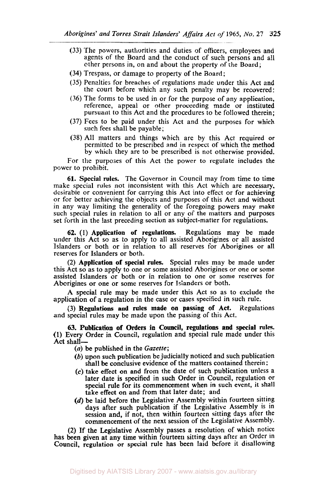- (33) The powers, authorities and duties of officers, employees and agents of the Board and the conduct of such persons and all other persons in, on and about the property of the Board;
- (34) Trespass, or damage to property of the Board;
- (35) Penalties for breaches of regulations made under this Act and the court before which any such penalty may be recovered:
- (36) The forms to be used in **or** for the purpose of any application, reference, appeal or other proceeding made or instituted pursuant to this Act and the procedures to be followed therein;
- (37) Fees to be paid under this Act and the purposes for which such fees shall be payable;
- (38) All matters and things which are by this Act required or permitted to be prescribed and in respect of which the method by which they are to be prescribed is not otherwise provided.

For the purposes of this Act the power to regulate includes the power to prohibit.

**61.** Special rules. The Governor in Council may from time to time make special rules not inconsistent with this Act which are necessary, desirable or convenient for carrying this Act into effect or for achieving or for better achieving the objects and purposes of this Act. and without in any way limiting the generality of the foregoing powers may make such special rules in relation to all or any of the matters and purposes set forth in the last preceding section as subject-matter for regulations.

**62.** (I) Application of regulations. Regulations may be made under this Act so as to apply to all assisted Aborigines or all assisted Islanders or both or in relation to all reserves for Aborigines or all reserves for Islanders or both.

(2) Application of special rules. Special rules may be made under this Act so as to apply to one or some assisted Aborigines or one or some assisted Islanders or both or in relation to one or some reserves for Aborigines or one or some reserves for Islanders or both.

A special rule may be made under this Act so as to exclude the application of a regulation in the case or cases specified in such rule.

(3) Regulations and **rules** made **on** passing of Act. Regulations and special rules may be made upon the passing of this Act.

**63. Publication** of Orders in Council, regulations and special **rules. (1)** Every Order in Council, regulation and special rule made under this **Act** shall-

*(a)* be published in the *Gazette;* 

- (b) upon such publication be judicially noticed and such publication shall be conclusive evidence of the matters contained therein ;
- *(c)* take effect on and from the date of such publication unless a later date *is* specified in such Order in Council, regulation or special rule for its commencement when in such event, it shall take effect on and from that later date; and
- (d) be laid before the Legislative Assembly within fourteen sitting days after such publication if the Legislative Assembly is in session and, if not, then within fourteen sitting days after the commencement of the next session of the Legislative Assembly.

**(2)** If the Legislative Assembly passes a resolution of which notice has been given at any time within fourteen sitting days after an Order in Council, regulation or special rule has been laid before it disallowing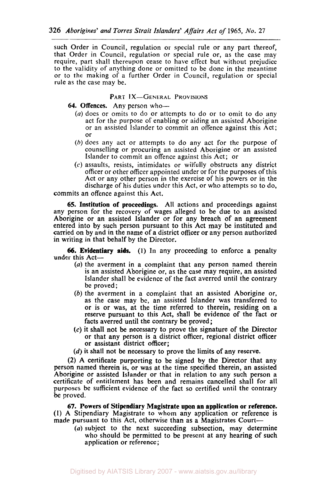such Order in Council, regulation or special rule or any part thereof, that Order in Council, regulation or special rule or, as the case may require, part shall thereupon cease to have effect but without prejudice to the validity of anything done or omitted to be done in the meantime or to the making of a further Order in Council, regulation or special rule as the case may be.

## PART IX-GENERAL PROVISIONS

## **64.** Offences. Any person who-

- *(a)* does or omits to do or attempts to do or to omit to do any act for the purpose of enabling or aiding an assisted Aborigine or an assisted islander to commit an offence against this Act; or
- (h) does any act or attempts to do any act for the purpose of counselling or procuring an assisted Aborigine or an assisted Islander to commit an offence against this Act; or
- $(c)$  assaults, resists, intimidates or wilfully obstructs any district officer or other officer appointed under or for the purposes of this Act or any other person in the exercise of his powers or in the discharge of his duties under this Act, or who attempts so to do,

commits an offence against this Act.

**65. Institution of proceedings.** All actions and proceedings against any person for the recovery of wages alleged to be due to an assisted Aborigine or an assisted Islander or for any breach of an agreement entered into by such person pursuant to this Act may be instituted and carried on by and in the name of a district officer or any person authorized in writing in that behalf by the Director.

**(1)** In any proceeding to enforce a penalty **66. Evidentiary aids.**  under this Act-

- (a) the averment in a complaint that any person named therein is an assisted Aborigine or, as the case may require, an assisted Islander shall be evidence of the fact averred until the contrary be proved ;
- (b) the averment in a complaint that an assisted Aborigine or, as the case may be, an assisted Islander was transferred to or is or was, at the time referred to therein, residing on a reserve pursuant to this Act, shall be evidence of the fact or facts averred until the contrary be proved;
- **(c)** it shall not be necessary to prove the signature of the Director or that any person is **a** district officer, regional district officer or assistant district officer;
- (d) it shall not be necessary to prove the limits of any reserve.

**(2)** A certificate purporting to be signed by the Director that any person named therein is, or was at the time specified therein, an assisted Aborigine or assisted Islander or that in relation to any such person a certificate of entitlement has been and remains cancelled shall for all purposes be sufficient evidence of the fact so certified until the contrary be proved.

**67. Powers of Stipendiary Magistrate upon an application or reference. (1) A** Stipendiary Magistrate to whom any application or reference is made pursuant to this Act, otherwise than as a Magistrates Court-

(a) subject to the next succeeding subsection, may determine who should be permitted to be present at any hearing of such application or reference;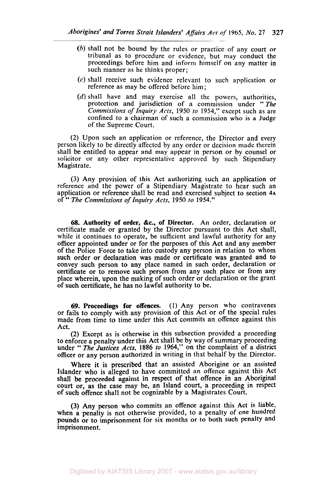- (b) shall not be bound by the rules or practice of any court or tribunal as to procedure or evidence, but may conduct the proceedings before him and inform himself on any matter in such manner as he thinks proper;
- *(c)* shall receive such evidence relevant to such application or reference as may be offered before him;
- (d) shall have and may exercise all the powers, authorities, protection and jurisdiction of a commission under "The *Commissions of Inquiry Acts,* 1950 *to* 1954," except such as are confined to a chairman of such a commission who is a Judge of the Supreme Court.

(2) Upon such an application or reference, the Director and every person likely to be directly affected by any order or decision made therein shall be entitled to appear and may appear in person or by counsel or solicitor or any other representative approved by such Stipendiary Magistrate.

(3) Any provision of this Act authorizing such an application or reference and the power of a Stipendiary Magistrate to hear such an application or reference shall be read and exercised subject to section 4A of " *The Commissions of Inquiry Acts,* 1950 *to* 1954."

**68. Authority of order, &c., of Director.** An order, declaration or certificate made or granted by the Director pursuant to this Act shall, while it continues to operate, be sufficient and lawful authority for any officer appointed under or for the purposes of this Act and any member of the Police Force to take into custody any person in relation to whom such order or declaration was made or certificate was granted and to convey such person to any place named in such order, declaration or certificate or to remove such person from any such place or from any place wherein, upon the making of such order or declaration or the grant of such certificate, he has no lawful authority to be.

**69. Proceedings for offences.** (1) Any person who contravenes or fails to comply with any provision of this Act or of the special rules made from time to time under this Act commits an offence against this Act.

(2) Except as is otherwise in this subsection provided a proceeding to enforce a penalty under this Act shall be by way of summary proceeding under " The Justices *Acts, 1886 to* 1964," on the complaint of a district officer or any person authorized in writing in that behalf by the Director.

Where it is prescribed that an assisted Aborigine or an assisted Islander who is alleged to have committed an offence against this Act shall be proceeded against in respect of that offence in an Aboriginal court or, as the case may be, an Island court, **a** proceeding in respect of such offence shall not be cognizable by a Magistrates Court.

(3) Any person who commits an offence against this Act is liable, when a penalty is not otherwise provided, to a penalty of one hundred pounds or **to** imprisonment for six months or to both such penalty and imprisonment.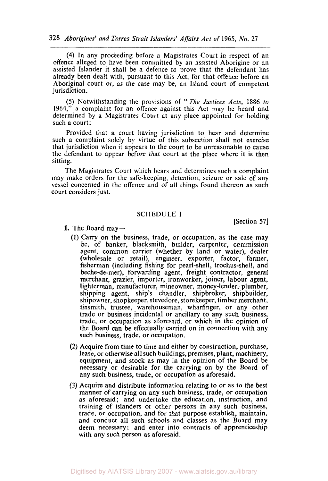**(4)** In any proceeding before a Magistrates Court in respect of an offence alleged to have been committed by an assisted Aborigine or an assisted Islander it shall be a defence to prove that the defendant has already been dealt with, pursuant to this Act, for that offence before an Aboriginal court or, as the case may be, an Island court of competent jurisdiction.

*(5)* Notwithstanding the provisions of " *The* Justices *Acts,* 1886 to 1964," a complaint for an offence against this Act may be heard and determined by a Magistrates Court at any place appointed for holding such a court:

Provided that a court having jurisdiction to hear and determine such a complaint solely by virtue of this subsection shall not exercise that jurisdiction when it appears to the court to be unreasonable to cause the defendant to appear before that court at the place where it is then sitting.

The Magistrates Court which hears and determines such a complaint may make orders for the safe-keeping. detention, seizure or sale of any vessel concerned in the offence and of ail things found thereon as such court considers just.

## **SCHEDULE** I

1. The Board may-

[Section **57]** 

- (I) Carry on the business, trade, or occupation, as the case may be, of banker, blacksmith, builder, carpenter, commission agent, common carrier (whether by land or water), dealer (wholesale or retail), engineer, exporter, factor, farmer, fisherman (including fishing for pearl-shell, trochus-shell, and beche-de-mer), forwarding agent, freight contractor, general merchant, grazier, importer, ironworker, joiner, labour agent, lighterman, manufacturer, mineowner, money-lender, plumber, shipping agent, ship's chandler, shipbroker, shipbuilder, shipowner, shopkeeper, stevedore, storekeeper, timber merchant, tinsmith, trustee, warehouseman, wharfinger, or any other trade or business incidental or ancillary to any such business, trade, or occupation as aforesaid, or which in the opinion of the Board can be effectually carried on in connection with any such business, trade, or occupation.
- **(2)** Acquire from time to time and either by construction, purchase, lease, or otherwise all such buildings, premises, plant, machinery, equipment, and stock as may in the opinion of the Board be necessary or desirable for the carrying on by the Board of any such business, trade, or occupation as aforesaid.
- (3) Acquire and distribute information relating to or as to the best manner of carrying on any such business, trade, **or** occupation as aforesaid; and undertake the education, instruction, and training of islanders or other persons in any such business, trade, or occupation, and for that purpose establish, maintain, and conduct all such schools and classes as the Board may deem necessary; and enter into contracts of apprenticeship with any such person as aforesaid.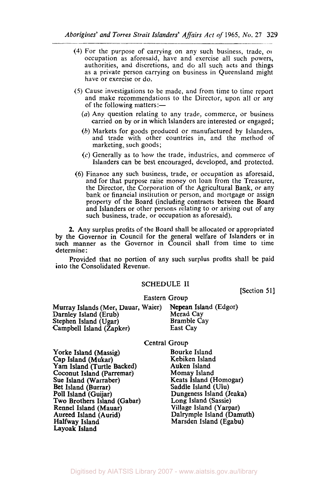- **(4)** For the purpose of carrying on any such business, trade, **or**  occupation as aforesaid, have and exercise all such powers, authorities, and discretions, and do all such acts and things as a private person carrying on business in Queensland might have or exercise or do.
- (5) Cause investigations to be made, and from time to time report and make recommendations to the Director, upon all or any of the following matters:—
	- (a) Any question relating to any trade, commerce, or business carried on by or in which Islanders are interested or engaged;
	- (b) Markets for goods produced or manufactured by Islanders, and trade with other countries in, and the method of marketing, such goods;
	- (c) Generally as to how the trade, industries, and commerce of Islanders can be best encouraged, developed, and protected.
- (6) Finance any such business, trade, or occupation as aforesaid. and for that purpose raise money on loan from the Treasurer, the Director, the Corporation of the Agricultural Bank, or any bank or financial institution or person, and mortgage or assign property of the Board (including contracts between the Board and Islanders or other persons relating to or arising out of any such business, trade, or occupation as aforesaid).

**2.** Any surplus profits of the Board shall be allocated or appropriated by the Governor in Council **for** the general welfare of Islanders or in such manner as the Governor in Council shall from time to time determine :

Provided that no portion of any such surplus profits shall be paid into the Consolidated Revenue.

## SCHEDULE II

[Section **51]** 

#### Eastern Group

Murray Islands (Mer, Dauar, Waier) Nepean Island (Edgor) Darnley Island (Erub) Merad Cay<br>Stephen Island (Ugar) Mamble Cay Stephen Island (Ugar) Bramble (Stephen Island (Zapker) Bramble (Stephen Island Cay Campbell Island (Zapker)

#### Central Group

Yorke Island (Massig) Bourke Island<br>Cap Island (Mukar) Bourke Island Cap Island (Mukar) Kebiken Islan<br>1981 - Yam Island (Turtle Backed) Kuken Island Yam Island (Turtle Backed) Auken Island Coconut Island (Parremar) Sue Island (Warraber) (Keats Island (Homogar)<br>Bet Island (Burrar) (Saddle Island (Ulu) Bet Island (Burrar) Saddle Island (Ulu)<br>Poll Island (Guijar) Saddle Island (J Two Brothers Island (Gabar) Long Island (Sassie) Rennel Island (Mauar)<br>Aureed Island (Aurid) Aureed Island (Aurid)<br>
Halfway Island (Damuth)<br>
Marsden Island (Egabu) Layoak Island

Dungeness Island (Jeaka)<br>Long Island (Sassie) Marsden Island (Egabu)